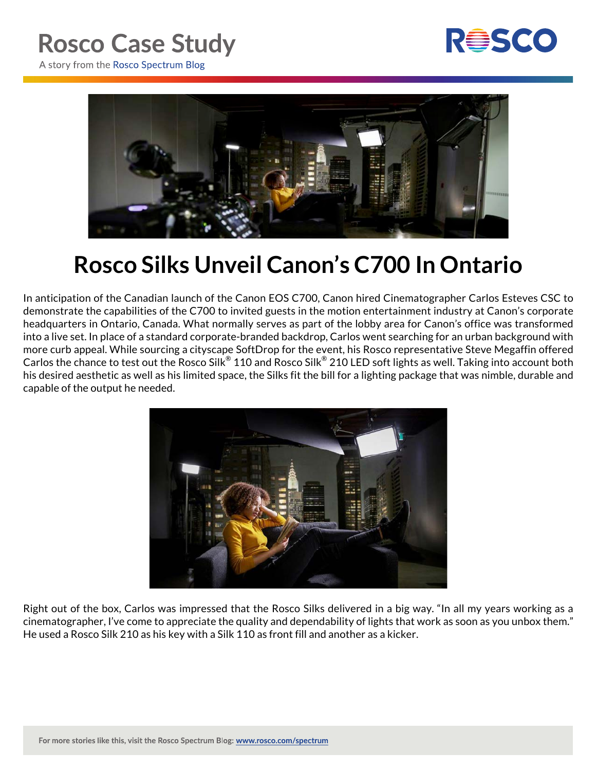## **Rosco Case Study**



A story from the Rosco Spectrum Blog



## **Rosco Silks Unveil Canon's C700 In Ontario**

In anticipation of the Canadian launch of the Canon EOS C700, Canon hired Cinematographer Carlos Esteves CSC to demonstrate the capabilities of the C700 to invited guests in the motion entertainment industry at Canon's corporate headquarters in Ontario, Canada. What normally serves as part of the lobby area for Canon's office was transformed into a live set. In place of a standard corporate-branded backdrop, Carlos went searching for an urban background with more curb appeal. While sourcing a cityscape SoftDrop for the event, his Rosco representative Steve Megaffin offered Carlos the chance to test out the Rosco Silk® 110 and Rosco Silk® 210 LED soft lights as well. Taking into account both his desired aesthetic as well as his limited space, the Silks fit the bill for a lighting package that was nimble, durable and capable of the output he needed.



Right out of the box, Carlos was impressed that the Rosco Silks delivered in a big way. "In all my years working as a cinematographer, I've come to appreciate the quality and dependability of lights that work as soon as you unbox them." He used a Rosco Silk 210 as his key with a Silk 110 as front fill and another as a kicker.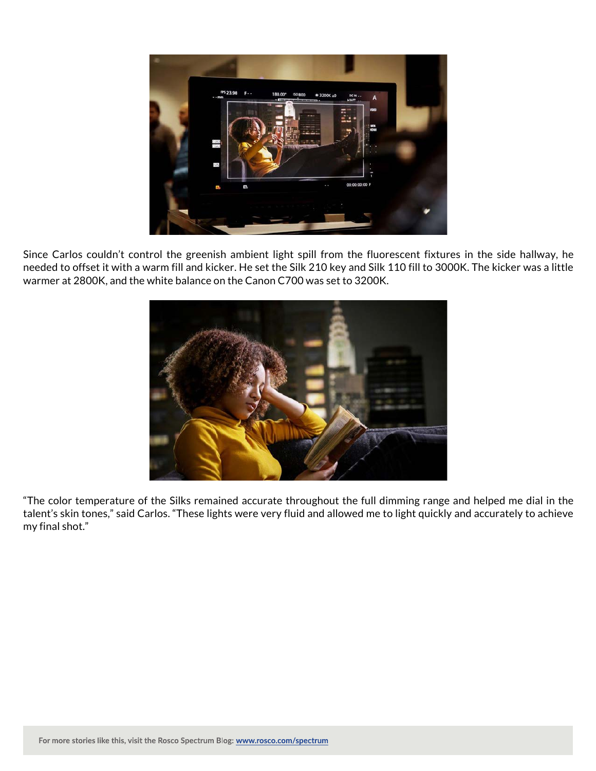

Since Carlos couldn't control the greenish ambient light spill from the fluorescent fixtures in the side hallway, he needed to offset it with a warm fill and kicker. He set the Silk 210 key and Silk 110 fill to 3000K. The kicker was a little warmer at 2800K, and the white balance on the Canon C700 was set to 3200K.



"The color temperature of the Silks remained accurate throughout the full dimming range and helped me dial in the talent's skin tones," said Carlos. "These lights were very fluid and allowed me to light quickly and accurately to achieve my final shot."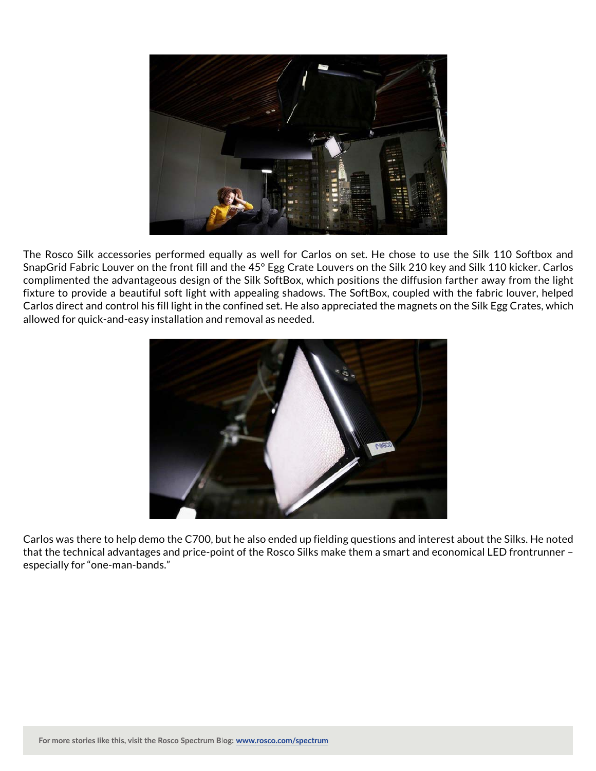

The Rosco Silk accessories performed equally as well for Carlos on set. He chose to use the Silk 110 Softbox and SnapGrid Fabric Louver on the front fill and the 45° Egg Crate Louvers on the Silk 210 key and Silk 110 kicker. Carlos complimented the advantageous design of the Silk SoftBox, which positions the diffusion farther away from the light fixture to provide a beautiful soft light with appealing shadows. The SoftBox, coupled with the fabric louver, helped Carlos direct and control his fill light in the confined set. He also appreciated the magnets on the Silk Egg Crates, which allowed for quick-and-easy installation and removal as needed.



Carlos was there to help demo the C700, but he also ended up fielding questions and interest about the Silks. He noted that the technical advantages and price-point of the Rosco Silks make them a smart and economical LED frontrunner – especially for "one-man-bands."